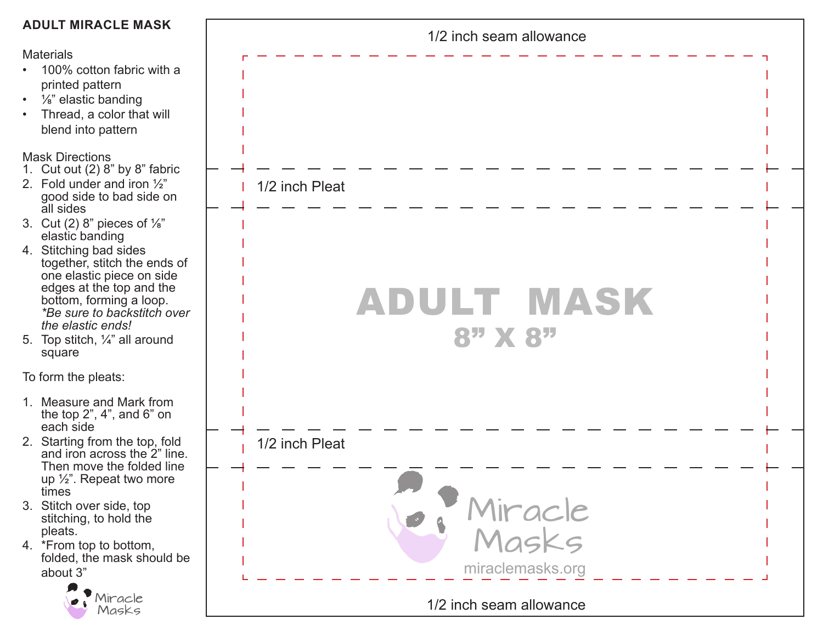| <b>ADULT MIRACLE MASK</b>                                                                                                                                                                                                                                                                                                                                                                                                                                            | 1/2 inch seam allowance                            |
|----------------------------------------------------------------------------------------------------------------------------------------------------------------------------------------------------------------------------------------------------------------------------------------------------------------------------------------------------------------------------------------------------------------------------------------------------------------------|----------------------------------------------------|
| <b>Materials</b><br>• 100% cotton fabric with a<br>printed pattern<br>• $\frac{1}{8}$ " elastic banding<br>Thread, a color that will<br>$\bullet$<br>blend into pattern                                                                                                                                                                                                                                                                                              |                                                    |
| <b>Mask Directions</b><br>1. Cut out $(2)$ 8" by 8" fabric<br>2. Fold under and iron $\frac{1}{2}$ "<br>good side to bad side on<br>all sides<br>3. Cut (2) 8" pieces of $\frac{1}{8}$ "<br>elastic banding<br>4. Stitching bad sides<br>together, stitch the ends of<br>one elastic piece on side<br>edges at the top and the<br>bottom, forming a loop.<br>*Be sure to backstitch over<br>the elastic ends!<br>5. Top stitch, $\frac{1}{4}$ " all around<br>square | 1/2 inch Pleat<br><b>ADULT MASK</b><br>$8"$ X $8"$ |
| To form the pleats:<br>1. Measure and Mark from<br>the top $2$ ", $4$ ", and $6$ " on<br>each side                                                                                                                                                                                                                                                                                                                                                                   |                                                    |
| 2. Starting from the top, fold<br>and iron across the 2" line.<br>Then move the folded line<br>up 1/ <sub>2</sub> ". Repeat two more<br>times<br>3. Stitch over side, top<br>stitching, to hold the<br>pleats.                                                                                                                                                                                                                                                       | 1/2 inch Pleat<br>Miracle<br>Masks                 |
| 4. *From top to bottom,<br>folded, the mask should be<br>about 3"<br>Miracle                                                                                                                                                                                                                                                                                                                                                                                         | miraclemasks.org                                   |
| Masks                                                                                                                                                                                                                                                                                                                                                                                                                                                                | 1/2 inch seam allowance                            |